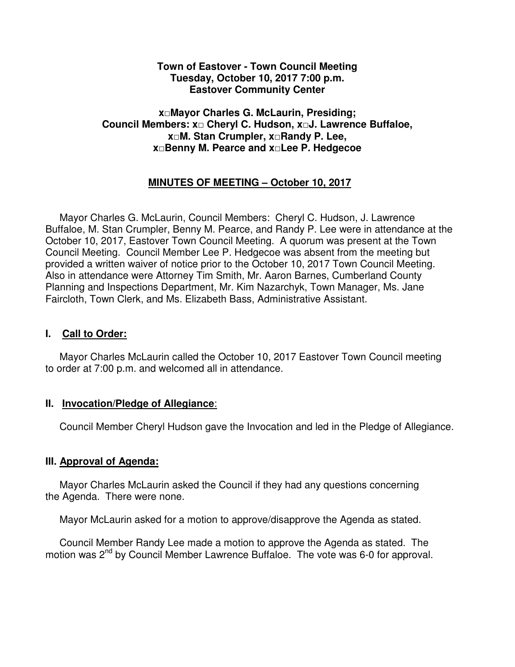#### **Town of Eastover - Town Council Meeting Tuesday, October 10, 2017 7:00 p.m. Eastover Community Center**

#### **x□Mayor Charles G. McLaurin, Presiding; Council Members: x□ Cheryl C. Hudson, x□J. Lawrence Buffaloe, x□M. Stan Crumpler, x□Randy P. Lee, x□Benny M. Pearce and x□Lee P. Hedgecoe**

# **MINUTES OF MEETING – October 10, 2017**

 Mayor Charles G. McLaurin, Council Members: Cheryl C. Hudson, J. Lawrence Buffaloe, M. Stan Crumpler, Benny M. Pearce, and Randy P. Lee were in attendance at the October 10, 2017, Eastover Town Council Meeting. A quorum was present at the Town Council Meeting. Council Member Lee P. Hedgecoe was absent from the meeting but provided a written waiver of notice prior to the October 10, 2017 Town Council Meeting. Also in attendance were Attorney Tim Smith, Mr. Aaron Barnes, Cumberland County Planning and Inspections Department, Mr. Kim Nazarchyk, Town Manager, Ms. Jane Faircloth, Town Clerk, and Ms. Elizabeth Bass, Administrative Assistant.

#### **I. Call to Order:**

 Mayor Charles McLaurin called the October 10, 2017 Eastover Town Council meeting to order at 7:00 p.m. and welcomed all in attendance.

#### **II. Invocation/Pledge of Allegiance**:

Council Member Cheryl Hudson gave the Invocation and led in the Pledge of Allegiance.

## **III. Approval of Agenda:**

 Mayor Charles McLaurin asked the Council if they had any questions concerning the Agenda. There were none.

Mayor McLaurin asked for a motion to approve/disapprove the Agenda as stated.

 Council Member Randy Lee made a motion to approve the Agenda as stated. The motion was 2<sup>nd</sup> by Council Member Lawrence Buffaloe. The vote was 6-0 for approval.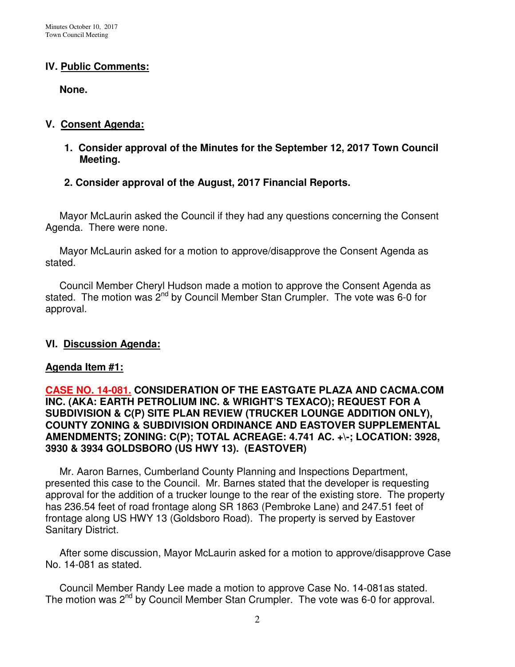#### **IV. Public Comments:**

 **None.** 

#### **V. Consent Agenda:**

- **1. Consider approval of the Minutes for the September 12, 2017 Town Council Meeting.**
- **2. Consider approval of the August, 2017 Financial Reports.**

 Mayor McLaurin asked the Council if they had any questions concerning the Consent Agenda. There were none.

 Mayor McLaurin asked for a motion to approve/disapprove the Consent Agenda as stated.

 Council Member Cheryl Hudson made a motion to approve the Consent Agenda as stated. The motion was  $2^{nd}$  by Council Member Stan Crumpler. The vote was 6-0 for approval.

#### **VI. Discussion Agenda:**

#### **Agenda Item #1:**

#### **CASE NO. 14-081. CONSIDERATION OF THE EASTGATE PLAZA AND CACMA.COM INC. (AKA: EARTH PETROLIUM INC. & WRIGHT'S TEXACO); REQUEST FOR A SUBDIVISION & C(P) SITE PLAN REVIEW (TRUCKER LOUNGE ADDITION ONLY), COUNTY ZONING & SUBDIVISION ORDINANCE AND EASTOVER SUPPLEMENTAL AMENDMENTS; ZONING: C(P); TOTAL ACREAGE: 4.741 AC. +\-; LOCATION: 3928, 3930 & 3934 GOLDSBORO (US HWY 13). (EASTOVER)**

 Mr. Aaron Barnes, Cumberland County Planning and Inspections Department, presented this case to the Council. Mr. Barnes stated that the developer is requesting approval for the addition of a trucker lounge to the rear of the existing store. The property has 236.54 feet of road frontage along SR 1863 (Pembroke Lane) and 247.51 feet of frontage along US HWY 13 (Goldsboro Road). The property is served by Eastover Sanitary District.

 After some discussion, Mayor McLaurin asked for a motion to approve/disapprove Case No. 14-081 as stated.

 Council Member Randy Lee made a motion to approve Case No. 14-081as stated. The motion was 2<sup>nd</sup> by Council Member Stan Crumpler. The vote was 6-0 for approval.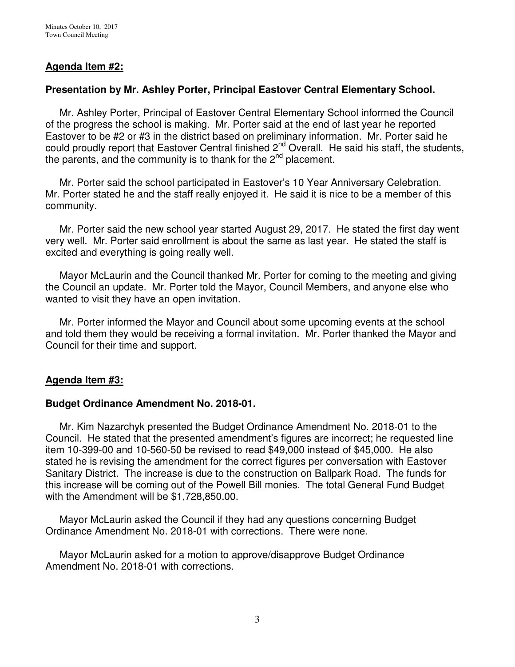#### **Agenda Item #2:**

#### **Presentation by Mr. Ashley Porter, Principal Eastover Central Elementary School.**

Mr. Ashley Porter, Principal of Eastover Central Elementary School informed the Council of the progress the school is making. Mr. Porter said at the end of last year he reported Eastover to be #2 or #3 in the district based on preliminary information. Mr. Porter said he could proudly report that Eastover Central finished 2<sup>nd</sup> Overall. He said his staff, the students, the parents, and the community is to thank for the  $2<sup>nd</sup>$  placement.

 Mr. Porter said the school participated in Eastover's 10 Year Anniversary Celebration. Mr. Porter stated he and the staff really enjoyed it. He said it is nice to be a member of this community.

 Mr. Porter said the new school year started August 29, 2017. He stated the first day went very well. Mr. Porter said enrollment is about the same as last year. He stated the staff is excited and everything is going really well.

 Mayor McLaurin and the Council thanked Mr. Porter for coming to the meeting and giving the Council an update. Mr. Porter told the Mayor, Council Members, and anyone else who wanted to visit they have an open invitation.

 Mr. Porter informed the Mayor and Council about some upcoming events at the school and told them they would be receiving a formal invitation. Mr. Porter thanked the Mayor and Council for their time and support.

#### **Agenda Item #3:**

#### **Budget Ordinance Amendment No. 2018-01.**

Mr. Kim Nazarchyk presented the Budget Ordinance Amendment No. 2018-01 to the Council. He stated that the presented amendment's figures are incorrect; he requested line item 10-399-00 and 10-560-50 be revised to read \$49,000 instead of \$45,000. He also stated he is revising the amendment for the correct figures per conversation with Eastover Sanitary District. The increase is due to the construction on Ballpark Road. The funds for this increase will be coming out of the Powell Bill monies. The total General Fund Budget with the Amendment will be \$1,728,850.00.

 Mayor McLaurin asked the Council if they had any questions concerning Budget Ordinance Amendment No. 2018-01 with corrections. There were none.

 Mayor McLaurin asked for a motion to approve/disapprove Budget Ordinance Amendment No. 2018-01 with corrections.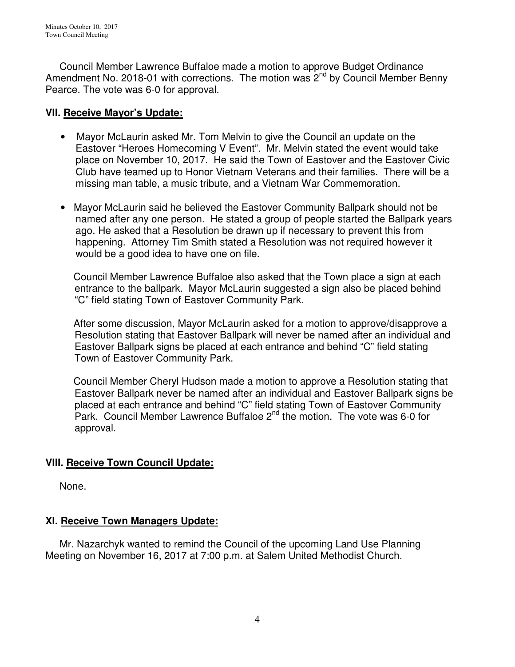Council Member Lawrence Buffaloe made a motion to approve Budget Ordinance Amendment No. 2018-01 with corrections. The motion was 2<sup>nd</sup> by Council Member Benny Pearce. The vote was 6-0 for approval.

### **VII. Receive Mayor's Update:**

- Mayor McLaurin asked Mr. Tom Melvin to give the Council an update on the Eastover "Heroes Homecoming V Event". Mr. Melvin stated the event would take place on November 10, 2017. He said the Town of Eastover and the Eastover Civic Club have teamed up to Honor Vietnam Veterans and their families. There will be a missing man table, a music tribute, and a Vietnam War Commemoration.
- Mayor McLaurin said he believed the Eastover Community Ballpark should not be named after any one person. He stated a group of people started the Ballpark years ago. He asked that a Resolution be drawn up if necessary to prevent this from happening. Attorney Tim Smith stated a Resolution was not required however it would be a good idea to have one on file.

 Council Member Lawrence Buffaloe also asked that the Town place a sign at each entrance to the ballpark. Mayor McLaurin suggested a sign also be placed behind "C" field stating Town of Eastover Community Park.

 After some discussion, Mayor McLaurin asked for a motion to approve/disapprove a Resolution stating that Eastover Ballpark will never be named after an individual and Eastover Ballpark signs be placed at each entrance and behind "C" field stating Town of Eastover Community Park.

 Council Member Cheryl Hudson made a motion to approve a Resolution stating that Eastover Ballpark never be named after an individual and Eastover Ballpark signs be placed at each entrance and behind "C" field stating Town of Eastover Community Park. Council Member Lawrence Buffaloe 2<sup>nd</sup> the motion. The vote was 6-0 for approval.

## **VIII. Receive Town Council Update:**

None.

# **XI. Receive Town Managers Update:**

 Mr. Nazarchyk wanted to remind the Council of the upcoming Land Use Planning Meeting on November 16, 2017 at 7:00 p.m. at Salem United Methodist Church.